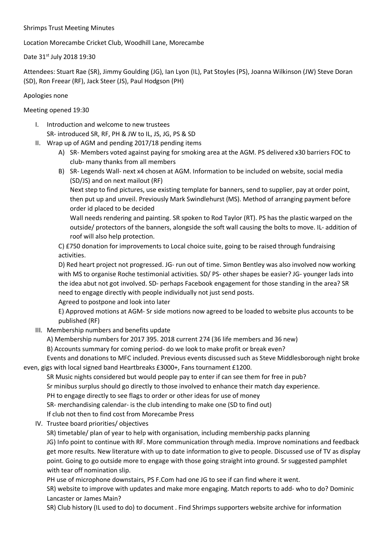### Shrimps Trust Meeting Minutes

Location Morecambe Cricket Club, Woodhill Lane, Morecambe

Date 31st July 2018 19:30

Attendees: Stuart Rae (SR), Jimmy Goulding (JG), Ian Lyon (IL), Pat Stoyles (PS), Joanna Wilkinson (JW) Steve Doran (SD), Ron Freear (RF), Jack Steer (JS), Paul Hodgson (PH)

## Apologies none

# Meeting opened 19:30

- I. Introduction and welcome to new trustees SR- introduced SR, RF, PH & JW to IL, JS, JG, PS & SD
- II. Wrap up of AGM and pending 2017/18 pending items
	- A) SR- Members voted against paying for smoking area at the AGM. PS delivered x30 barriers FOC to club- many thanks from all members
	- B) SR- Legends Wall- next x4 chosen at AGM. Information to be included on website, social media (SD/JS) and on next mailout (RF)

Next step to find pictures, use existing template for banners, send to supplier, pay at order point, then put up and unveil. Previously Mark Swindlehurst (MS). Method of arranging payment before order id placed to be decided

Wall needs rendering and painting. SR spoken to Rod Taylor (RT). PS has the plastic warped on the outside/ protectors of the banners, alongside the soft wall causing the bolts to move. IL- addition of roof will also help protection.

C) £750 donation for improvements to Local choice suite, going to be raised through fundraising activities.

D) Red heart project not progressed. JG- run out of time. Simon Bentley was also involved now working with MS to organise Roche testimonial activities. SD/ PS- other shapes be easier? JG- younger lads into the idea abut not got involved. SD- perhaps Facebook engagement for those standing in the area? SR need to engage directly with people individually not just send posts.

## Agreed to postpone and look into later

E) Approved motions at AGM- Sr side motions now agreed to be loaded to website plus accounts to be published (RF)

III. Membership numbers and benefits update

A) Membership numbers for 2017 395. 2018 current 274 (36 life members and 36 new)

B) Accounts summary for coming period- do we look to make profit or break even?

Events and donations to MFC included. Previous events discussed such as Steve Middlesborough night broke even, gigs with local signed band Heartbreaks £3000+, Fans tournament £1200.

SR Music nights considered but would people pay to enter if can see them for free in pub?

Sr minibus surplus should go directly to those involved to enhance their match day experience.

PH to engage directly to see flags to order or other ideas for use of money

SR- merchandising calendar- is the club intending to make one (SD to find out)

If club not then to find cost from Morecambe Press

IV. Trustee board priorities/ objectives

SR) timetable/ plan of year to help with organisation, including membership packs planning

JG) Info point to continue with RF. More communication through media. Improve nominations and feedback get more results. New literature with up to date information to give to people. Discussed use of TV as display point. Going to go outside more to engage with those going straight into ground. Sr suggested pamphlet with tear off nomination slip.

PH use of microphone downstairs, PS F.Com had one JG to see if can find where it went.

SR) website to improve with updates and make more engaging. Match reports to add- who to do? Dominic Lancaster or James Main?

SR) Club history (IL used to do) to document . Find Shrimps supporters website archive for information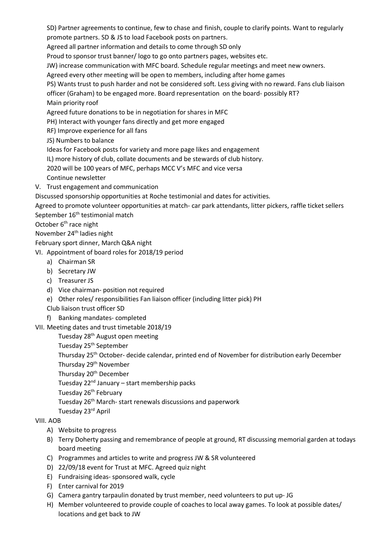SD) Partner agreements to continue, few to chase and finish, couple to clarify points. Want to regularly promote partners. SD & JS to load Facebook posts on partners.

Agreed all partner information and details to come through SD only

Proud to sponsor trust banner/ logo to go onto partners pages, websites etc.

JW) increase communication with MFC board. Schedule regular meetings and meet new owners.

Agreed every other meeting will be open to members, including after home games

PS) Wants trust to push harder and not be considered soft. Less giving with no reward. Fans club liaison

officer (Graham) to be engaged more. Board representation on the board- possibly RT?

Main priority roof

Agreed future donations to be in negotiation for shares in MFC

PH) Interact with younger fans directly and get more engaged

- RF) Improve experience for all fans
- JS) Numbers to balance

Ideas for Facebook posts for variety and more page likes and engagement

IL) more history of club, collate documents and be stewards of club history.

2020 will be 100 years of MFC, perhaps MCC V's MFC and vice versa

- Continue newsletter
- V. Trust engagement and communication

Discussed sponsorship opportunities at Roche testimonial and dates for activities.

Agreed to promote volunteer opportunities at match- car park attendants, litter pickers, raffle ticket sellers

September 16<sup>th</sup> testimonial match

October 6<sup>th</sup> race night

November 24<sup>th</sup> ladies night

February sport dinner, March Q&A night

- VI. Appointment of board roles for 2018/19 period
	- a) Chairman SR
	- b) Secretary JW
	- c) Treasurer JS
	- d) Vice chairman- position not required
	- e) Other roles/ responsibilities Fan liaison officer (including litter pick) PH

Club liaison trust officer SD

f) Banking mandates- completed

VII. Meeting dates and trust timetable 2018/19

Tuesday 28<sup>th</sup> August open meeting

Tuesday 25<sup>th</sup> September

Thursday 25th October- decide calendar, printed end of November for distribution early December

Thursday 29<sup>th</sup> November

Thursday 20<sup>th</sup> December

Tuesday 22nd January – start membership packs

Tuesday 26<sup>th</sup> February

Tuesday 26<sup>th</sup> March- start renewals discussions and paperwork

Tuesday 23rd April

## VIII. AOB

- A) Website to progress
- B) Terry Doherty passing and remembrance of people at ground, RT discussing memorial garden at todays board meeting
- C) Programmes and articles to write and progress JW & SR volunteered
- D) 22/09/18 event for Trust at MFC. Agreed quiz night
- E) Fundraising ideas- sponsored walk, cycle
- F) Enter carnival for 2019
- G) Camera gantry tarpaulin donated by trust member, need volunteers to put up- JG
- H) Member volunteered to provide couple of coaches to local away games. To look at possible dates/ locations and get back to JW